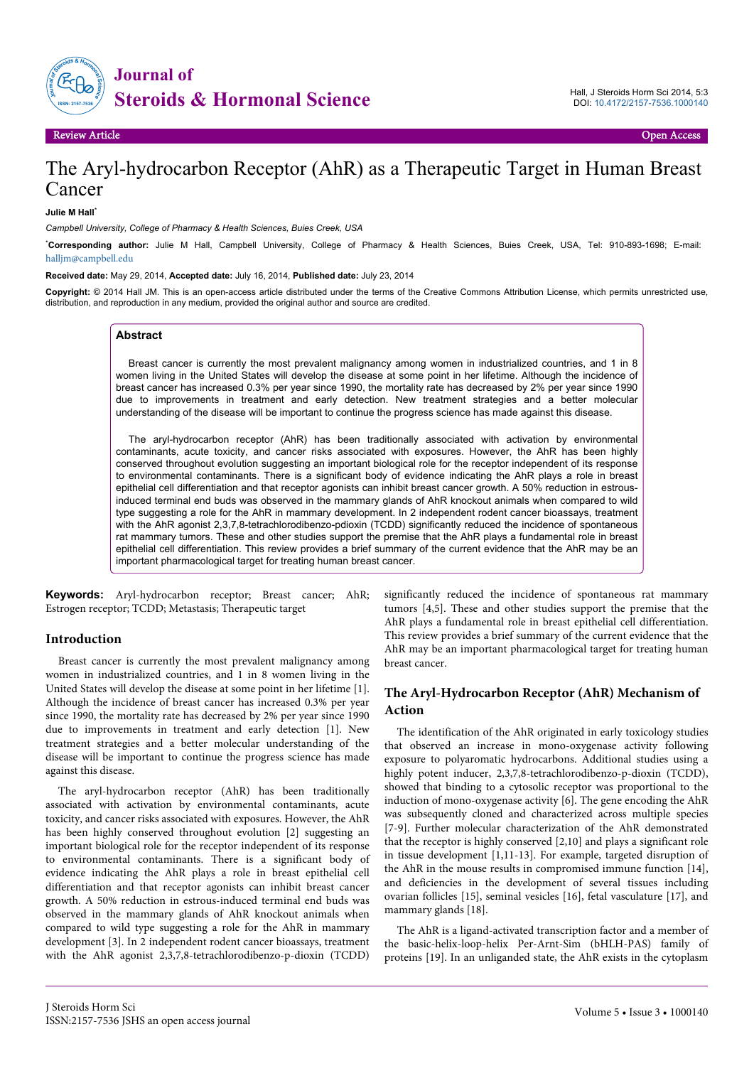

Review Article Open Access

# The Aryl-hydrocarbon Receptor (AhR) as a Therapeutic Target in Human Breast Cancer

**Julie M Hall**\*

*Campbell University, College of Pharmacy & Health Sciences, Buies Creek, USA*

\***Corresponding author:** Julie M Hall, Campbell University, College of Pharmacy & Health Sciences, Buies Creek, USA, Tel: 910-893-1698; E-mail: [halljm@campbell.edu](mailto:halljm@campbell.edu)

**Received date:** May 29, 2014, **Accepted date:** July 16, 2014, **Published date:** July 23, 2014

**Copyright:** © 2014 Hall JM. This is an open-access article distributed under the terms of the Creative Commons Attribution License, which permits unrestricted use, distribution, and reproduction in any medium, provided the original author and source are credited.

#### **Abstract**

Breast cancer is currently the most prevalent malignancy among women in industrialized countries, and 1 in 8 women living in the United States will develop the disease at some point in her lifetime. Although the incidence of breast cancer has increased 0.3% per year since 1990, the mortality rate has decreased by 2% per year since 1990 due to improvements in treatment and early detection. New treatment strategies and a better molecular understanding of the disease will be important to continue the progress science has made against this disease.

The aryl-hydrocarbon receptor (AhR) has been traditionally associated with activation by environmental contaminants, acute toxicity, and cancer risks associated with exposures. However, the AhR has been highly conserved throughout evolution suggesting an important biological role for the receptor independent of its response to environmental contaminants. There is a significant body of evidence indicating the AhR plays a role in breast epithelial cell differentiation and that receptor agonists can inhibit breast cancer growth. A 50% reduction in estrousinduced terminal end buds was observed in the mammary glands of AhR knockout animals when compared to wild type suggesting a role for the AhR in mammary development. In 2 independent rodent cancer bioassays, treatment with the AhR agonist 2,3,7,8-tetrachlorodibenzo-pdioxin (TCDD) significantly reduced the incidence of spontaneous rat mammary tumors. These and other studies support the premise that the AhR plays a fundamental role in breast epithelial cell differentiation. This review provides a brief summary of the current evidence that the AhR may be an important pharmacological target for treating human breast cancer.

**Keywords:** Aryl-hydrocarbon receptor; Breast cancer; AhR; Estrogen receptor; TCDD; Metastasis; Therapeutic target

#### **Introduction**

Breast cancer is currently the most prevalent malignancy among women in industrialized countries, and 1 in 8 women living in the United States will develop the disease at some point in her lifetime [1]. Although the incidence of breast cancer has increased 0.3% per year since 1990, the mortality rate has decreased by 2% per year since 1990 due to improvements in treatment and early detection [1]. New treatment strategies and a better molecular understanding of the disease will be important to continue the progress science has made against this disease.

The aryl-hydrocarbon receptor (AhR) has been traditionally associated with activation by environmental contaminants, acute toxicity, and cancer risks associated with exposures. However, the AhR has been highly conserved throughout evolution [2] suggesting an important biological role for the receptor independent of its response to environmental contaminants. There is a significant body of evidence indicating the AhR plays a role in breast epithelial cell differentiation and that receptor agonists can inhibit breast cancer growth. A 50% reduction in estrous-induced terminal end buds was observed in the mammary glands of AhR knockout animals when compared to wild type suggesting a role for the AhR in mammary development [3]. In 2 independent rodent cancer bioassays, treatment with the AhR agonist 2,3,7,8-tetrachlorodibenzo-p-dioxin (TCDD)

significantly reduced the incidence of spontaneous rat mammary tumors [4,5]. These and other studies support the premise that the AhR plays a fundamental role in breast epithelial cell differentiation. This review provides a brief summary of the current evidence that the AhR may be an important pharmacological target for treating human breast cancer.

# **The Aryl-Hydrocarbon Receptor (AhR) Mechanism of Action**

The identification of the AhR originated in early toxicology studies that observed an increase in mono-oxygenase activity following exposure to polyaromatic hydrocarbons. Additional studies using a highly potent inducer, 2,3,7,8-tetrachlorodibenzo-p-dioxin (TCDD), showed that binding to a cytosolic receptor was proportional to the induction of mono-oxygenase activity [6]. The gene encoding the AhR was subsequently cloned and characterized across multiple species [7-9]. Further molecular characterization of the AhR demonstrated that the receptor is highly conserved [2,10] and plays a significant role in tissue development [1,11-13]. For example, targeted disruption of the AhR in the mouse results in compromised immune function [14], and deficiencies in the development of several tissues including ovarian follicles [15], seminal vesicles [16], fetal vasculature [17], and mammary glands [18].

The AhR is a ligand-activated transcription factor and a member of the basic-helix-loop-helix Per-Arnt-Sim (bHLH-PAS) family of proteins [19]. In an unliganded state, the AhR exists in the cytoplasm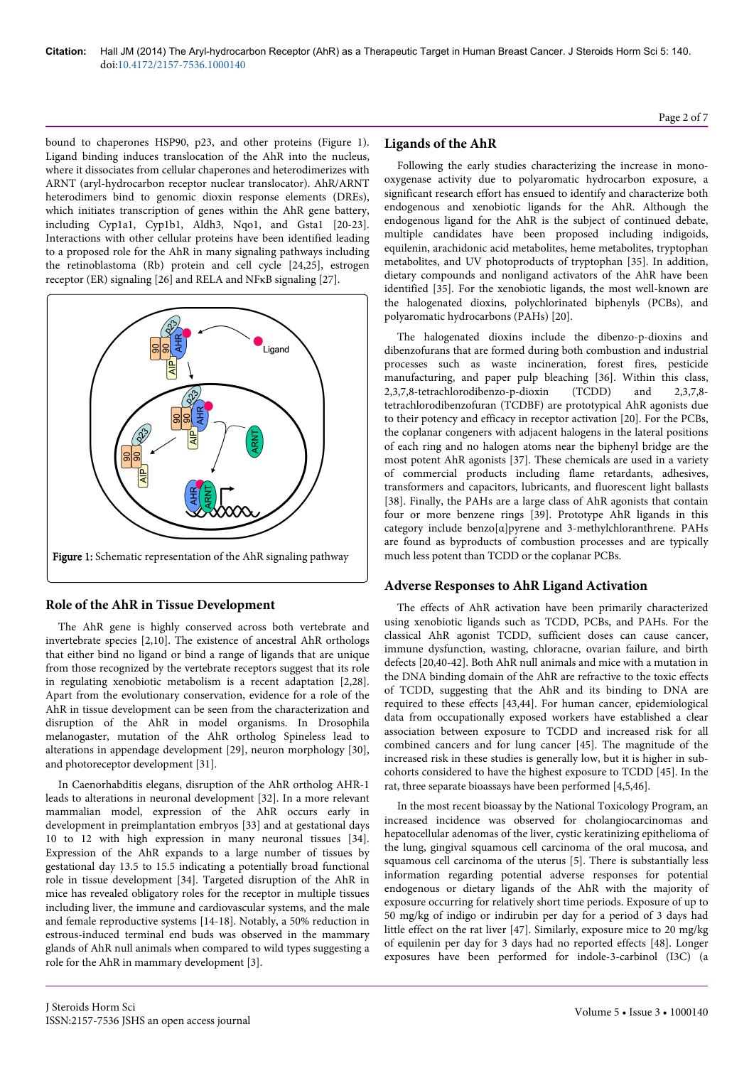bound to chaperones HSP90, p23, and other proteins (Figure 1). Ligand binding induces translocation of the AhR into the nucleus, where it dissociates from cellular chaperones and heterodimerizes with ARNT (aryl-hydrocarbon receptor nuclear translocator). AhR/ARNT heterodimers bind to genomic dioxin response elements (DREs), which initiates transcription of genes within the AhR gene battery, including Cyp1a1, Cyp1b1, Aldh3, Nqo1, and Gsta1 [20-23]. Interactions with other cellular proteins have been identified leading to a proposed role for the AhR in many signaling pathways including the retinoblastoma (Rb) protein and cell cycle [24,25], estrogen receptor (ER) signaling [26] and RELA and NFκB signaling [27].



# **Role of the AhR in Tissue Development**

The AhR gene is highly conserved across both vertebrate and invertebrate species [2,10]. The existence of ancestral AhR orthologs that either bind no ligand or bind a range of ligands that are unique from those recognized by the vertebrate receptors suggest that its role in regulating xenobiotic metabolism is a recent adaptation [2,28]. Apart from the evolutionary conservation, evidence for a role of the AhR in tissue development can be seen from the characterization and disruption of the AhR in model organisms. In Drosophila melanogaster, mutation of the AhR ortholog Spineless lead to alterations in appendage development [29], neuron morphology [30], and photoreceptor development [31].

In Caenorhabditis elegans, disruption of the AhR ortholog AHR-1 leads to alterations in neuronal development [32]. In a more relevant mammalian model, expression of the AhR occurs early in development in preimplantation embryos [33] and at gestational days 10 to 12 with high expression in many neuronal tissues [34]. Expression of the AhR expands to a large number of tissues by gestational day 13.5 to 15.5 indicating a potentially broad functional role in tissue development [34]. Targeted disruption of the AhR in mice has revealed obligatory roles for the receptor in multiple tissues including liver, the immune and cardiovascular systems, and the male and female reproductive systems [14-18]. Notably, a 50% reduction in estrous-induced terminal end buds was observed in the mammary glands of AhR null animals when compared to wild types suggesting a role for the AhR in mammary development [3].

# **Ligands of the AhR**

Following the early studies characterizing the increase in monooxygenase activity due to polyaromatic hydrocarbon exposure, a significant research effort has ensued to identify and characterize both endogenous and xenobiotic ligands for the AhR. Although the endogenous ligand for the AhR is the subject of continued debate, multiple candidates have been proposed including indigoids, equilenin, arachidonic acid metabolites, heme metabolites, tryptophan metabolites, and UV photoproducts of tryptophan [35]. In addition, dietary compounds and nonligand activators of the AhR have been identified [35]. For the xenobiotic ligands, the most well-known are the halogenated dioxins, polychlorinated biphenyls (PCBs), and polyaromatic hydrocarbons (PAHs) [20].

The halogenated dioxins include the dibenzo-p-dioxins and dibenzofurans that are formed during both combustion and industrial processes such as waste incineration, forest fires, pesticide manufacturing, and paper pulp bleaching [36]. Within this class, 2,3,7,8-tetrachlorodibenzo-p-dioxin (TCDD) and 2,3,7,8 tetrachlorodibenzofuran (TCDBF) are prototypical AhR agonists due to their potency and efficacy in receptor activation [20]. For the PCBs, the coplanar congeners with adjacent halogens in the lateral positions of each ring and no halogen atoms near the biphenyl bridge are the most potent AhR agonists [37]. These chemicals are used in a variety of commercial products including flame retardants, adhesives, transformers and capacitors, lubricants, and fluorescent light ballasts [38]. Finally, the PAHs are a large class of AhR agonists that contain four or more benzene rings [39]. Prototype AhR ligands in this category include benzo[α]pyrene and 3-methylchloranthrene. PAHs are found as byproducts of combustion processes and are typically much less potent than TCDD or the coplanar PCBs.

#### **Adverse Responses to AhR Ligand Activation**

The effects of AhR activation have been primarily characterized using xenobiotic ligands such as TCDD, PCBs, and PAHs. For the classical AhR agonist TCDD, sufficient doses can cause cancer, immune dysfunction, wasting, chloracne, ovarian failure, and birth defects [20,40-42]. Both AhR null animals and mice with a mutation in the DNA binding domain of the AhR are refractive to the toxic effects of TCDD, suggesting that the AhR and its binding to DNA are required to these effects [43,44]. For human cancer, epidemiological data from occupationally exposed workers have established a clear association between exposure to TCDD and increased risk for all combined cancers and for lung cancer [45]. The magnitude of the increased risk in these studies is generally low, but it is higher in subcohorts considered to have the highest exposure to TCDD [45]. In the rat, three separate bioassays have been performed [4,5,46].

In the most recent bioassay by the National Toxicology Program, an increased incidence was observed for cholangiocarcinomas and hepatocellular adenomas of the liver, cystic keratinizing epithelioma of the lung, gingival squamous cell carcinoma of the oral mucosa, and squamous cell carcinoma of the uterus [5]. There is substantially less information regarding potential adverse responses for potential endogenous or dietary ligands of the AhR with the majority of exposure occurring for relatively short time periods. Exposure of up to 50 mg/kg of indigo or indirubin per day for a period of 3 days had little effect on the rat liver [47]. Similarly, exposure mice to 20 mg/kg of equilenin per day for 3 days had no reported effects [48]. Longer exposures have been performed for indole-3-carbinol (I3C) (a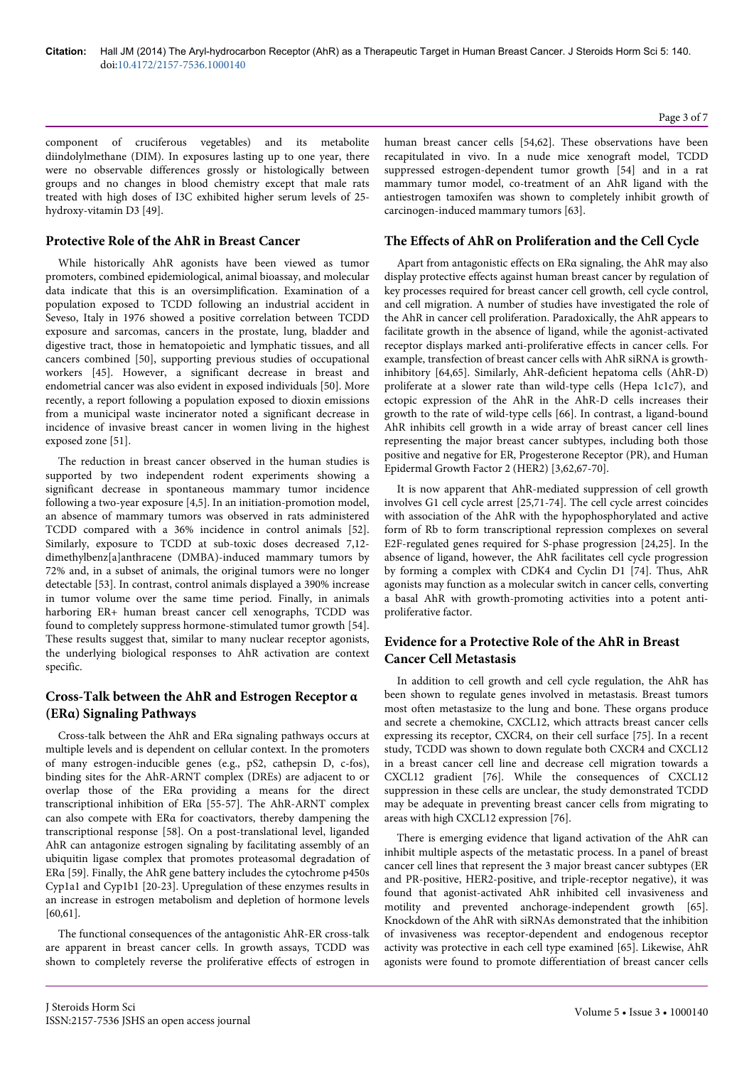component of cruciferous vegetables) and its metabolite diindolylmethane (DIM). In exposures lasting up to one year, there were no observable differences grossly or histologically between groups and no changes in blood chemistry except that male rats treated with high doses of I3C exhibited higher serum levels of 25 hydroxy-vitamin D3 [49].

#### **Protective Role of the AhR in Breast Cancer**

While historically AhR agonists have been viewed as tumor promoters, combined epidemiological, animal bioassay, and molecular data indicate that this is an oversimplification. Examination of a population exposed to TCDD following an industrial accident in Seveso, Italy in 1976 showed a positive correlation between TCDD exposure and sarcomas, cancers in the prostate, lung, bladder and digestive tract, those in hematopoietic and lymphatic tissues, and all cancers combined [50], supporting previous studies of occupational workers [45]. However, a significant decrease in breast and endometrial cancer was also evident in exposed individuals [50]. More recently, a report following a population exposed to dioxin emissions from a municipal waste incinerator noted a significant decrease in incidence of invasive breast cancer in women living in the highest exposed zone [51].

The reduction in breast cancer observed in the human studies is supported by two independent rodent experiments showing a significant decrease in spontaneous mammary tumor incidence following a two-year exposure [4,5]. In an initiation-promotion model, an absence of mammary tumors was observed in rats administered TCDD compared with a 36% incidence in control animals [52]. Similarly, exposure to TCDD at sub-toxic doses decreased 7,12 dimethylbenz[a]anthracene (DMBA)-induced mammary tumors by 72% and, in a subset of animals, the original tumors were no longer detectable [53]. In contrast, control animals displayed a 390% increase in tumor volume over the same time period. Finally, in animals harboring ER+ human breast cancer cell xenographs, TCDD was found to completely suppress hormone-stimulated tumor growth [54]. These results suggest that, similar to many nuclear receptor agonists, the underlying biological responses to AhR activation are context specific.

# **Cross-Talk between the AhR and Estrogen Receptor α (ERα) Signaling Pathways**

Cross-talk between the AhR and ERα signaling pathways occurs at multiple levels and is dependent on cellular context. In the promoters of many estrogen-inducible genes (e.g., pS2, cathepsin D, c-fos), binding sites for the AhR-ARNT complex (DREs) are adjacent to or overlap those of the ERα providing a means for the direct transcriptional inhibition of ERα [55-57]. The AhR-ARNT complex can also compete with ERα for coactivators, thereby dampening the transcriptional response [58]. On a post-translational level, liganded AhR can antagonize estrogen signaling by facilitating assembly of an ubiquitin ligase complex that promotes proteasomal degradation of ERα [59]. Finally, the AhR gene battery includes the cytochrome p450s Cyp1a1 and Cyp1b1 [20-23]. Upregulation of these enzymes results in an increase in estrogen metabolism and depletion of hormone levels [60,61].

The functional consequences of the antagonistic AhR-ER cross-talk are apparent in breast cancer cells. In growth assays, TCDD was shown to completely reverse the proliferative effects of estrogen in

human breast cancer cells [54,62]. These observations have been recapitulated in vivo. In a nude mice xenograft model, TCDD suppressed estrogen-dependent tumor growth [54] and in a rat mammary tumor model, co-treatment of an AhR ligand with the antiestrogen tamoxifen was shown to completely inhibit growth of carcinogen-induced mammary tumors [63].

#### **The Effects of AhR on Proliferation and the Cell Cycle**

Apart from antagonistic effects on ERα signaling, the AhR may also display protective effects against human breast cancer by regulation of key processes required for breast cancer cell growth, cell cycle control, and cell migration. A number of studies have investigated the role of the AhR in cancer cell proliferation. Paradoxically, the AhR appears to facilitate growth in the absence of ligand, while the agonist-activated receptor displays marked anti-proliferative effects in cancer cells. For example, transfection of breast cancer cells with AhR siRNA is growthinhibitory [64,65]. Similarly, AhR-deficient hepatoma cells (AhR-D) proliferate at a slower rate than wild-type cells (Hepa 1c1c7), and ectopic expression of the AhR in the AhR-D cells increases their growth to the rate of wild-type cells [66]. In contrast, a ligand-bound AhR inhibits cell growth in a wide array of breast cancer cell lines representing the major breast cancer subtypes, including both those positive and negative for ER, Progesterone Receptor (PR), and Human Epidermal Growth Factor 2 (HER2) [3,62,67-70].

It is now apparent that AhR-mediated suppression of cell growth involves G1 cell cycle arrest [25,71-74]. The cell cycle arrest coincides with association of the AhR with the hypophosphorylated and active form of Rb to form transcriptional repression complexes on several E2F-regulated genes required for S-phase progression [24,25]. In the absence of ligand, however, the AhR facilitates cell cycle progression by forming a complex with CDK4 and Cyclin D1 [74]. Thus, AhR agonists may function as a molecular switch in cancer cells, converting a basal AhR with growth-promoting activities into a potent antiproliferative factor.

## **Evidence for a Protective Role of the AhR in Breast Cancer Cell Metastasis**

In addition to cell growth and cell cycle regulation, the AhR has been shown to regulate genes involved in metastasis. Breast tumors most often metastasize to the lung and bone. These organs produce and secrete a chemokine, CXCL12, which attracts breast cancer cells expressing its receptor, CXCR4, on their cell surface [75]. In a recent study, TCDD was shown to down regulate both CXCR4 and CXCL12 in a breast cancer cell line and decrease cell migration towards a CXCL12 gradient [76]. While the consequences of CXCL12 suppression in these cells are unclear, the study demonstrated TCDD may be adequate in preventing breast cancer cells from migrating to areas with high CXCL12 expression [76].

There is emerging evidence that ligand activation of the AhR can inhibit multiple aspects of the metastatic process. In a panel of breast cancer cell lines that represent the 3 major breast cancer subtypes (ER and PR-positive, HER2-positive, and triple-receptor negative), it was found that agonist-activated AhR inhibited cell invasiveness and motility and prevented anchorage-independent growth [65]. Knockdown of the AhR with siRNAs demonstrated that the inhibition of invasiveness was receptor-dependent and endogenous receptor activity was protective in each cell type examined [65]. Likewise, AhR agonists were found to promote differentiation of breast cancer cells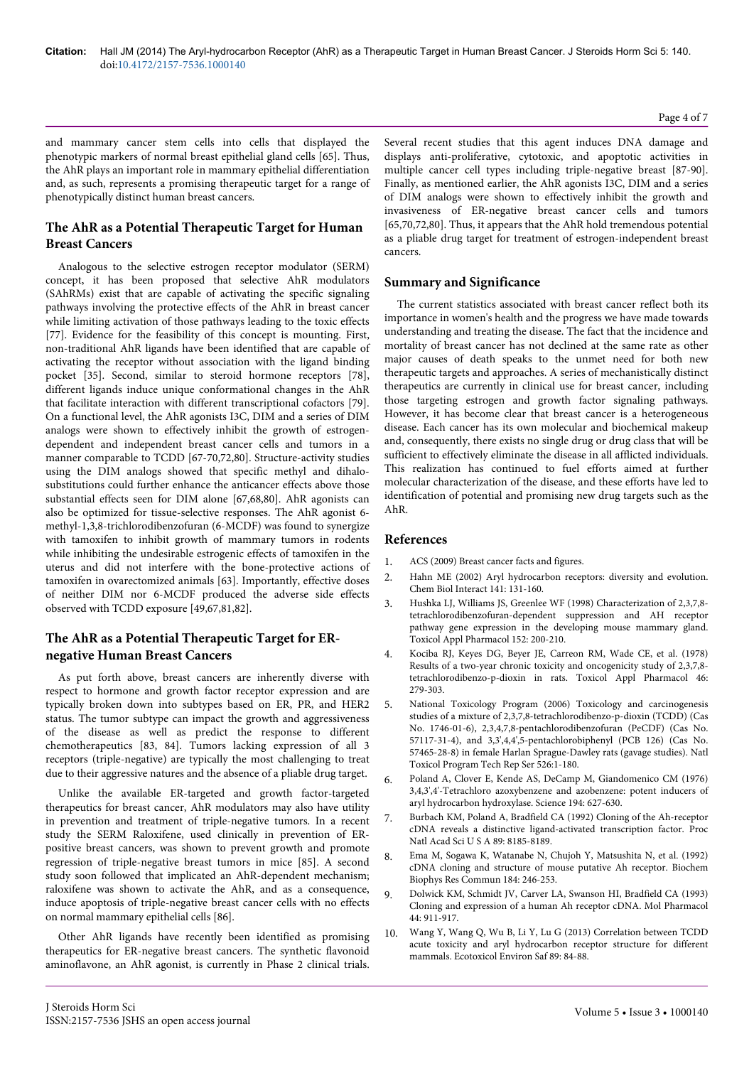and mammary cancer stem cells into cells that displayed the phenotypic markers of normal breast epithelial gland cells [65]. Thus, the AhR plays an important role in mammary epithelial differentiation and, as such, represents a promising therapeutic target for a range of phenotypically distinct human breast cancers.

# **The AhR as a Potential Therapeutic Target for Human Breast Cancers**

Analogous to the selective estrogen receptor modulator (SERM) concept, it has been proposed that selective AhR modulators (SAhRMs) exist that are capable of activating the specific signaling pathways involving the protective effects of the AhR in breast cancer while limiting activation of those pathways leading to the toxic effects [77]. Evidence for the feasibility of this concept is mounting. First, non-traditional AhR ligands have been identified that are capable of activating the receptor without association with the ligand binding pocket [35]. Second, similar to steroid hormone receptors [78], different ligands induce unique conformational changes in the AhR that facilitate interaction with different transcriptional cofactors [79]. On a functional level, the AhR agonists I3C, DIM and a series of DIM analogs were shown to effectively inhibit the growth of estrogendependent and independent breast cancer cells and tumors in a manner comparable to TCDD [67-70,72,80]. Structure-activity studies using the DIM analogs showed that specific methyl and dihalosubstitutions could further enhance the anticancer effects above those substantial effects seen for DIM alone [67,68,80]. AhR agonists can also be optimized for tissue-selective responses. The AhR agonist 6 methyl-1,3,8-trichlorodibenzofuran (6-MCDF) was found to synergize with tamoxifen to inhibit growth of mammary tumors in rodents while inhibiting the undesirable estrogenic effects of tamoxifen in the uterus and did not interfere with the bone-protective actions of tamoxifen in ovarectomized animals [63]. Importantly, effective doses of neither DIM nor 6-MCDF produced the adverse side effects observed with TCDD exposure [49,67,81,82].

# **The AhR as a Potential Therapeutic Target for ERnegative Human Breast Cancers**

As put forth above, breast cancers are inherently diverse with respect to hormone and growth factor receptor expression and are typically broken down into subtypes based on ER, PR, and HER2 status. The tumor subtype can impact the growth and aggressiveness of the disease as well as predict the response to different chemotherapeutics [83, 84]. Tumors lacking expression of all 3 receptors (triple-negative) are typically the most challenging to treat due to their aggressive natures and the absence of a pliable drug target.

Unlike the available ER-targeted and growth factor-targeted therapeutics for breast cancer, AhR modulators may also have utility in prevention and treatment of triple-negative tumors. In a recent study the SERM Raloxifene, used clinically in prevention of ERpositive breast cancers, was shown to prevent growth and promote regression of triple-negative breast tumors in mice [85]. A second study soon followed that implicated an AhR-dependent mechanism; raloxifene was shown to activate the AhR, and as a consequence, induce apoptosis of triple-negative breast cancer cells with no effects on normal mammary epithelial cells [86].

Other AhR ligands have recently been identified as promising therapeutics for ER-negative breast cancers. The synthetic flavonoid aminoflavone, an AhR agonist, is currently in Phase 2 clinical trials. Several recent studies that this agent induces DNA damage and displays anti-proliferative, cytotoxic, and apoptotic activities in multiple cancer cell types including triple-negative breast [87-90]. Finally, as mentioned earlier, the AhR agonists I3C, DIM and a series of DIM analogs were shown to effectively inhibit the growth and invasiveness of ER-negative breast cancer cells and tumors [65,70,72,80]. Thus, it appears that the AhR hold tremendous potential as a pliable drug target for treatment of estrogen-independent breast cancers.

#### **Summary and Significance**

The current statistics associated with breast cancer reflect both its importance in women's health and the progress we have made towards understanding and treating the disease. The fact that the incidence and mortality of breast cancer has not declined at the same rate as other major causes of death speaks to the unmet need for both new therapeutic targets and approaches. A series of mechanistically distinct therapeutics are currently in clinical use for breast cancer, including those targeting estrogen and growth factor signaling pathways. However, it has become clear that breast cancer is a heterogeneous disease. Each cancer has its own molecular and biochemical makeup and, consequently, there exists no single drug or drug class that will be sufficient to effectively eliminate the disease in all afflicted individuals. This realization has continued to fuel efforts aimed at further molecular characterization of the disease, and these efforts have led to identification of potential and promising new drug targets such as the AhR.

#### **References**

- 1. [ACS \(2009\) Breast cancer facts and figures.](http://www.cancer.org/research/cancerfactsstatistics/breast-cancer-facts-figures)
- 2. [Hahn ME \(2002\) Aryl hydrocarbon receptors: diversity and evolution.](http://www.ncbi.nlm.nih.gov/pubmed/12213389) [Chem Biol Interact 141: 131-160.](http://www.ncbi.nlm.nih.gov/pubmed/12213389)
- 3. [Hushka LJ, Williams JS, Greenlee WF \(1998\) Characterization of 2,3,7,8](http://www.ncbi.nlm.nih.gov/pubmed/9772216) [tetrachlorodibenzofuran-dependent suppression and AH receptor](http://www.ncbi.nlm.nih.gov/pubmed/9772216) [pathway gene expression in the developing mouse mammary gland.](http://www.ncbi.nlm.nih.gov/pubmed/9772216) [Toxicol Appl Pharmacol 152: 200-210.](http://www.ncbi.nlm.nih.gov/pubmed/9772216)
- 4. [Kociba RJ, Keyes DG, Beyer JE, Carreon RM, Wade CE, et al. \(1978\)](http://www.ncbi.nlm.nih.gov/pubmed/734660) [Results of a two-year chronic toxicity and oncogenicity study of 2,3,7,8](http://www.ncbi.nlm.nih.gov/pubmed/734660) [tetrachlorodibenzo-p-dioxin in rats. Toxicol Appl Pharmacol 46:](http://www.ncbi.nlm.nih.gov/pubmed/734660) [279-303.](http://www.ncbi.nlm.nih.gov/pubmed/734660)
- 5. [National Toxicology Program \(2006\) Toxicology and carcinogenesis](http://www.ncbi.nlm.nih.gov/pubmed/17342195) [studies of a mixture of 2,3,7,8-tetrachlorodibenzo-p-dioxin \(TCDD\) \(Cas](http://www.ncbi.nlm.nih.gov/pubmed/17342195) [No. 1746-01-6\), 2,3,4,7,8-pentachlorodibenzofuran \(PeCDF\) \(Cas No.](http://www.ncbi.nlm.nih.gov/pubmed/17342195) [57117-31-4\), and 3,3',4,4',5-pentachlorobiphenyl \(PCB 126\) \(Cas No.](http://www.ncbi.nlm.nih.gov/pubmed/17342195) [57465-28-8\) in female Harlan Sprague-Dawley rats \(gavage studies\). Natl](http://www.ncbi.nlm.nih.gov/pubmed/17342195) [Toxicol Program Tech Rep Ser 526:1-180.](http://www.ncbi.nlm.nih.gov/pubmed/17342195)
- 6. [Poland A, Clover E, Kende AS, DeCamp M, Giandomenico CM \(1976\)](http://www.ncbi.nlm.nih.gov/pubmed/136041) [3,4,3',4'-Tetrachloro azoxybenzene and azobenzene: potent inducers of](http://www.ncbi.nlm.nih.gov/pubmed/136041) [aryl hydrocarbon hydroxylase. Science 194: 627-630.](http://www.ncbi.nlm.nih.gov/pubmed/136041)
- 7. [Burbach KM, Poland A, Bradfield CA \(1992\) Cloning of the Ah-receptor](http://www.ncbi.nlm.nih.gov/pubmed/1325649) [cDNA reveals a distinctive ligand-activated transcription factor. Proc](http://www.ncbi.nlm.nih.gov/pubmed/1325649) [Natl Acad Sci U S A 89: 8185-8189.](http://www.ncbi.nlm.nih.gov/pubmed/1325649)
- 8. [Ema M, Sogawa K, Watanabe N, Chujoh Y, Matsushita N, et al. \(1992\)](http://www.ncbi.nlm.nih.gov/pubmed/1314586) [cDNA cloning and structure of mouse putative Ah receptor. Biochem](http://www.ncbi.nlm.nih.gov/pubmed/1314586) [Biophys Res Commun 184: 246-253.](http://www.ncbi.nlm.nih.gov/pubmed/1314586)
- 9. [Dolwick KM, Schmidt JV, Carver LA, Swanson HI, Bradfield CA \(1993\)](http://www.ncbi.nlm.nih.gov/pubmed/8246913) [Cloning and expression of a human Ah receptor cDNA. Mol Pharmacol](http://www.ncbi.nlm.nih.gov/pubmed/8246913) [44: 911-917.](http://www.ncbi.nlm.nih.gov/pubmed/8246913)
- 10. [Wang Y, Wang Q, Wu B, Li Y, Lu G \(2013\) Correlation between TCDD](http://www.ncbi.nlm.nih.gov/pubmed/23266373) [acute toxicity and aryl hydrocarbon receptor structure for different](http://www.ncbi.nlm.nih.gov/pubmed/23266373) [mammals. Ecotoxicol Environ Saf 89: 84-88.](http://www.ncbi.nlm.nih.gov/pubmed/23266373)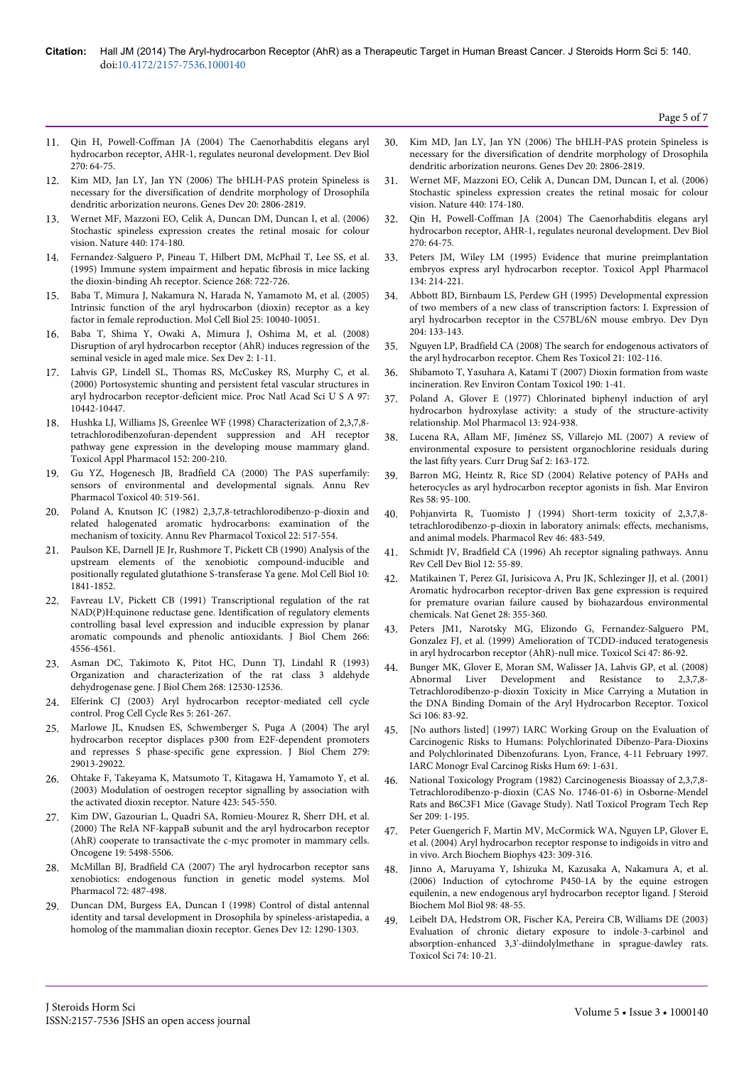- 11. [Qin H, Powell-Coffman JA \(2004\) The Caenorhabditis elegans aryl](http://www.ncbi.nlm.nih.gov/pubmed/15136141) [hydrocarbon receptor, AHR-1, regulates neuronal development. Dev Biol](http://www.ncbi.nlm.nih.gov/pubmed/15136141) [270: 64-75.](http://www.ncbi.nlm.nih.gov/pubmed/15136141)
- 12. [Kim MD, Jan LY, Jan YN \(2006\) The bHLH-PAS protein Spineless is](http://www.ncbi.nlm.nih.gov/pubmed/17015425) [necessary for the diversification of dendrite morphology of Drosophila](http://www.ncbi.nlm.nih.gov/pubmed/17015425) [dendritic arborization neurons. Genes Dev 20: 2806-2819.](http://www.ncbi.nlm.nih.gov/pubmed/17015425)
- 13. [Wernet MF, Mazzoni EO, Celik A, Duncan DM, Duncan I, et al. \(2006\)](http://www.ncbi.nlm.nih.gov/pubmed/16525464) [Stochastic spineless expression creates the retinal mosaic for colour](http://www.ncbi.nlm.nih.gov/pubmed/16525464) [vision. Nature 440: 174-180.](http://www.ncbi.nlm.nih.gov/pubmed/16525464)
- 14. [Fernandez-Salguero P, Pineau T, Hilbert DM, McPhail T, Lee SS, et al.](http://www.ncbi.nlm.nih.gov/pubmed/7732381) [\(1995\) Immune system impairment and hepatic fibrosis in mice lacking](http://www.ncbi.nlm.nih.gov/pubmed/7732381) [the dioxin-binding Ah receptor. Science 268: 722-726.](http://www.ncbi.nlm.nih.gov/pubmed/7732381)
- 15. [Baba T, Mimura J, Nakamura N, Harada N, Yamamoto M, et al. \(2005\)](http://www.ncbi.nlm.nih.gov/pubmed/16260617) [Intrinsic function of the aryl hydrocarbon \(dioxin\) receptor as a key](http://www.ncbi.nlm.nih.gov/pubmed/16260617) [factor in female reproduction. Mol Cell Biol 25: 10040-10051.](http://www.ncbi.nlm.nih.gov/pubmed/16260617)
- 16. [Baba T, Shima Y, Owaki A, Mimura J, Oshima M, et al. \(2008\)](http://www.ncbi.nlm.nih.gov/pubmed/18418030) [Disruption of aryl hydrocarbon receptor \(AhR\) induces regression of the](http://www.ncbi.nlm.nih.gov/pubmed/18418030) [seminal vesicle in aged male mice. Sex Dev 2: 1-11.](http://www.ncbi.nlm.nih.gov/pubmed/18418030)
- 17. [Lahvis GP, Lindell SL, Thomas RS, McCuskey RS, Murphy C, et al.](http://www.ncbi.nlm.nih.gov/pubmed/10973493) [\(2000\) Portosystemic shunting and persistent fetal vascular structures in](http://www.ncbi.nlm.nih.gov/pubmed/10973493) [aryl hydrocarbon receptor-deficient mice. Proc Natl Acad Sci U S A 97:](http://www.ncbi.nlm.nih.gov/pubmed/10973493) [10442-10447.](http://www.ncbi.nlm.nih.gov/pubmed/10973493)
- 18. [Hushka LJ, Williams JS, Greenlee WF \(1998\) Characterization of 2,3,7,8](http://www.ncbi.nlm.nih.gov/pubmed/9772216) [tetrachlorodibenzofuran-dependent suppression and AH receptor](http://www.ncbi.nlm.nih.gov/pubmed/9772216) [pathway gene expression in the developing mouse mammary gland.](http://www.ncbi.nlm.nih.gov/pubmed/9772216) [Toxicol Appl Pharmacol 152: 200-210.](http://www.ncbi.nlm.nih.gov/pubmed/9772216)
- 19. [Gu YZ, Hogenesch JB, Bradfield CA \(2000\) The PAS superfamily:](http://www.ncbi.nlm.nih.gov/pubmed/10836146) [sensors of environmental and developmental signals. Annu Rev](http://www.ncbi.nlm.nih.gov/pubmed/10836146) [Pharmacol Toxicol 40: 519-561.](http://www.ncbi.nlm.nih.gov/pubmed/10836146)
- 20. [Poland A, Knutson JC \(1982\) 2,3,7,8-tetrachlorodibenzo-p-dioxin and](http://www.ncbi.nlm.nih.gov/pubmed/6282188) [related halogenated aromatic hydrocarbons: examination of the](http://www.ncbi.nlm.nih.gov/pubmed/6282188) [mechanism of toxicity. Annu Rev Pharmacol Toxicol 22: 517-554.](http://www.ncbi.nlm.nih.gov/pubmed/6282188)
- 21. [Paulson KE, Darnell JE Jr, Rushmore T, Pickett CB \(1990\) Analysis of the](http://www.ncbi.nlm.nih.gov/pubmed/2325638) [upstream elements of the xenobiotic compound-inducible and](http://www.ncbi.nlm.nih.gov/pubmed/2325638) [positionally regulated glutathione S-transferase Ya gene. Mol Cell Biol 10:](http://www.ncbi.nlm.nih.gov/pubmed/2325638) [1841-1852.](http://www.ncbi.nlm.nih.gov/pubmed/2325638)
- 22. [Favreau LV, Pickett CB \(1991\) Transcriptional regulation of the rat](http://www.ncbi.nlm.nih.gov/pubmed/1900296) [NAD\(P\)H:quinone reductase gene. Identification of regulatory elements](http://www.ncbi.nlm.nih.gov/pubmed/1900296) [controlling basal level expression and inducible expression by planar](http://www.ncbi.nlm.nih.gov/pubmed/1900296) [aromatic compounds and phenolic antioxidants. J Biol Chem 266:](http://www.ncbi.nlm.nih.gov/pubmed/1900296) [4556-4561.](http://www.ncbi.nlm.nih.gov/pubmed/1900296)
- 23. [Asman DC, Takimoto K, Pitot HC, Dunn TJ, Lindahl R \(1993\)](http://www.ncbi.nlm.nih.gov/pubmed/8509394) [Organization and characterization of the rat class 3 aldehyde](http://www.ncbi.nlm.nih.gov/pubmed/8509394) [dehydrogenase gene. J Biol Chem 268: 12530-12536.](http://www.ncbi.nlm.nih.gov/pubmed/8509394)
- 24. [Elferink CJ \(2003\) Aryl hydrocarbon receptor-mediated cell cycle](http://www.ncbi.nlm.nih.gov/pubmed/14593720) [control. Prog Cell Cycle Res 5: 261-267.](http://www.ncbi.nlm.nih.gov/pubmed/14593720)
- 25. [Marlowe JL, Knudsen ES, Schwemberger S, Puga A \(2004\) The aryl](http://www.ncbi.nlm.nih.gov/pubmed/15123621) [hydrocarbon receptor displaces p300 from E2F-dependent promoters](http://www.ncbi.nlm.nih.gov/pubmed/15123621) [and represses S phase-specific gene expression. J Biol Chem 279:](http://www.ncbi.nlm.nih.gov/pubmed/15123621) [29013-29022.](http://www.ncbi.nlm.nih.gov/pubmed/15123621)
- 26. [Ohtake F, Takeyama K, Matsumoto T, Kitagawa H, Yamamoto Y, et al.](http://www.ncbi.nlm.nih.gov/pubmed/12774124) [\(2003\) Modulation of oestrogen receptor signalling by association with](http://www.ncbi.nlm.nih.gov/pubmed/12774124) [the activated dioxin receptor. Nature 423: 545-550.](http://www.ncbi.nlm.nih.gov/pubmed/12774124)
- 27. [Kim DW, Gazourian L, Quadri SA, Romieu-Mourez R, Sherr DH, et al.](http://www.ncbi.nlm.nih.gov/pubmed/11114727) [\(2000\) The RelA NF-kappaB subunit and the aryl hydrocarbon receptor](http://www.ncbi.nlm.nih.gov/pubmed/11114727) [\(AhR\) cooperate to transactivate the c-myc promoter in mammary cells.](http://www.ncbi.nlm.nih.gov/pubmed/11114727) [Oncogene 19: 5498-5506.](http://www.ncbi.nlm.nih.gov/pubmed/11114727)
- 28. [McMillan BJ, Bradfield CA \(2007\) The aryl hydrocarbon receptor sans](http://www.ncbi.nlm.nih.gov/pubmed/17535977) [xenobiotics: endogenous function in genetic model systems. Mol](http://www.ncbi.nlm.nih.gov/pubmed/17535977) [Pharmacol 72: 487-498.](http://www.ncbi.nlm.nih.gov/pubmed/17535977)
- 29. [Duncan DM, Burgess EA, Duncan I \(1998\) Control of distal antennal](http://www.ncbi.nlm.nih.gov/pubmed/9573046) [identity and tarsal development in Drosophila by spineless-aristapedia, a](http://www.ncbi.nlm.nih.gov/pubmed/9573046) [homolog of the mammalian dioxin receptor. Genes Dev 12: 1290-1303.](http://www.ncbi.nlm.nih.gov/pubmed/9573046)
- 30. [Kim MD, Jan LY, Jan YN \(2006\) The bHLH-PAS protein Spineless is](http://www.ncbi.nlm.nih.gov/pubmed/17015425) [necessary for the diversification of dendrite morphology of Drosophila](http://www.ncbi.nlm.nih.gov/pubmed/17015425) [dendritic arborization neurons. Genes Dev 20: 2806-2819.](http://www.ncbi.nlm.nih.gov/pubmed/17015425)
- 31. [Wernet MF, Mazzoni EO, Celik A, Duncan DM, Duncan I, et al. \(2006\)](http://www.ncbi.nlm.nih.gov/pubmed/16525464) [Stochastic spineless expression creates the retinal mosaic for colour](http://www.ncbi.nlm.nih.gov/pubmed/16525464) [vision. Nature 440: 174-180.](http://www.ncbi.nlm.nih.gov/pubmed/16525464)
- 32. [Qin H, Powell-Coffman JA \(2004\) The Caenorhabditis elegans aryl](http://www.ncbi.nlm.nih.gov/pubmed/15136141) [hydrocarbon receptor, AHR-1, regulates neuronal development. Dev Biol](http://www.ncbi.nlm.nih.gov/pubmed/15136141) [270: 64-75.](http://www.ncbi.nlm.nih.gov/pubmed/15136141)
- 33. [Peters JM, Wiley LM \(1995\) Evidence that murine preimplantation](http://www.ncbi.nlm.nih.gov/pubmed/7570597) [embryos express aryl hydrocarbon receptor. Toxicol Appl Pharmacol](http://www.ncbi.nlm.nih.gov/pubmed/7570597) [134: 214-221.](http://www.ncbi.nlm.nih.gov/pubmed/7570597)
- 34. [Abbott BD, Birnbaum LS, Perdew GH \(1995\) Developmental expression](http://www.ncbi.nlm.nih.gov/pubmed/8589437) [of two members of a new class of transcription factors: I. Expression of](http://www.ncbi.nlm.nih.gov/pubmed/8589437) [aryl hydrocarbon receptor in the C57BL/6N mouse embryo. Dev Dyn](http://www.ncbi.nlm.nih.gov/pubmed/8589437) [204: 133-143.](http://www.ncbi.nlm.nih.gov/pubmed/8589437)
- 35. [Nguyen LP, Bradfield CA \(2008\) The search for endogenous activators of](http://www.ncbi.nlm.nih.gov/pubmed/18076143) [the aryl hydrocarbon receptor. Chem Res Toxicol 21: 102-116.](http://www.ncbi.nlm.nih.gov/pubmed/18076143)
- 36. [Shibamoto T, Yasuhara A, Katami T \(2007\) Dioxin formation from waste](http://www.ncbi.nlm.nih.gov/pubmed/17432330) [incineration. Rev Environ Contam Toxicol 190: 1-41.](http://www.ncbi.nlm.nih.gov/pubmed/17432330)
- 37. [Poland A, Glover E \(1977\) Chlorinated biphenyl induction of aryl](http://www.ncbi.nlm.nih.gov/pubmed/408602) [hydrocarbon hydroxylase activity: a study of the structure-activity](http://www.ncbi.nlm.nih.gov/pubmed/408602) [relationship. Mol Pharmacol 13: 924-938.](http://www.ncbi.nlm.nih.gov/pubmed/408602)
- 38. [Lucena RA, Allam MF, Jiménez SS, Villarejo ML \(2007\) A review of](http://www.ncbi.nlm.nih.gov/pubmed/18690963) [environmental exposure to persistent organochlorine residuals during](http://www.ncbi.nlm.nih.gov/pubmed/18690963) [the last fifty years. Curr Drug Saf 2: 163-172.](http://www.ncbi.nlm.nih.gov/pubmed/18690963)
- 39. [Barron MG, Heintz R, Rice SD \(2004\) Relative potency of PAHs and](http://www.ncbi.nlm.nih.gov/pubmed/15178019) [heterocycles as aryl hydrocarbon receptor agonists in fish. Mar Environ](http://www.ncbi.nlm.nih.gov/pubmed/15178019) [Res 58: 95-100.](http://www.ncbi.nlm.nih.gov/pubmed/15178019)
- 40. [Pohjanvirta R, Tuomisto J \(1994\) Short-term toxicity of 2,3,7,8](http://www.ncbi.nlm.nih.gov/pubmed/7899475) [tetrachlorodibenzo-p-dioxin in laboratory animals: effects, mechanisms,](http://www.ncbi.nlm.nih.gov/pubmed/7899475) [and animal models. Pharmacol Rev 46: 483-549.](http://www.ncbi.nlm.nih.gov/pubmed/7899475)
- 41. [Schmidt JV, Bradfield CA \(1996\) Ah receptor signaling pathways. Annu](http://www.ncbi.nlm.nih.gov/pubmed/8970722) [Rev Cell Dev Biol 12: 55-89.](http://www.ncbi.nlm.nih.gov/pubmed/8970722)
- 42. [Matikainen T, Perez GI, Jurisicova A, Pru JK, Schlezinger JJ, et al. \(2001\)](http://www.ncbi.nlm.nih.gov/pubmed/11455387) [Aromatic hydrocarbon receptor-driven Bax gene expression is required](http://www.ncbi.nlm.nih.gov/pubmed/11455387) [for premature ovarian failure caused by biohazardous environmental](http://www.ncbi.nlm.nih.gov/pubmed/11455387) [chemicals. Nat Genet 28: 355-360.](http://www.ncbi.nlm.nih.gov/pubmed/11455387)
- 43. [Peters JM1, Narotsky MG, Elizondo G, Fernandez-Salguero PM,](http://www.ncbi.nlm.nih.gov/pubmed/10048156) [Gonzalez FJ, et al. \(1999\) Amelioration of TCDD-induced teratogenesis](http://www.ncbi.nlm.nih.gov/pubmed/10048156) [in aryl hydrocarbon receptor \(AhR\)-null mice. Toxicol Sci 47: 86-92.](http://www.ncbi.nlm.nih.gov/pubmed/10048156)
- 44. [Bunger MK, Glover E, Moran SM, Walisser JA, Lahvis GP, et al. \(2008\)](http://www.ncbi.nlm.nih.gov/pubmed/18660548) [Abnormal Liver Development and Resistance to 2,3,7,8-](http://www.ncbi.nlm.nih.gov/pubmed/18660548) [Tetrachlorodibenzo-p-dioxin Toxicity in Mice Carrying a Mutation in](http://www.ncbi.nlm.nih.gov/pubmed/18660548) [the DNA Binding Domain of the Aryl Hydrocarbon Receptor. Toxicol](http://www.ncbi.nlm.nih.gov/pubmed/18660548) [Sci 106: 83-92.](http://www.ncbi.nlm.nih.gov/pubmed/18660548)
- 45. [\[No authors listed\] \(1997\) IARC Working Group on the Evaluation of](http://www.ncbi.nlm.nih.gov/pubmed/9379504) [Carcinogenic Risks to Humans: Polychlorinated Dibenzo-Para-Dioxins](http://www.ncbi.nlm.nih.gov/pubmed/9379504) [and Polychlorinated Dibenzofurans. Lyon, France, 4-11 February 1997.](http://www.ncbi.nlm.nih.gov/pubmed/9379504) [IARC Monogr Eval Carcinog Risks Hum 69: 1-631.](http://www.ncbi.nlm.nih.gov/pubmed/9379504)
- 46. [National Toxicology Program \(1982\) Carcinogenesis Bioassay of 2,3,7,8-](http://www.ncbi.nlm.nih.gov/pubmed/12778226) [Tetrachlorodibenzo-p-dioxin \(CAS No. 1746-01-6\) in Osborne-Mendel](http://www.ncbi.nlm.nih.gov/pubmed/12778226) [Rats and B6C3F1 Mice \(Gavage Study\). Natl Toxicol Program Tech Rep](http://www.ncbi.nlm.nih.gov/pubmed/12778226) [Ser 209: 1-195.](http://www.ncbi.nlm.nih.gov/pubmed/12778226)
- 47. [Peter Guengerich F, Martin MV, McCormick WA, Nguyen LP, Glover E,](http://www.ncbi.nlm.nih.gov/pubmed/15001395) [et al. \(2004\) Aryl hydrocarbon receptor response to indigoids in vitro and](http://www.ncbi.nlm.nih.gov/pubmed/15001395) [in vivo. Arch Biochem Biophys 423: 309-316.](http://www.ncbi.nlm.nih.gov/pubmed/15001395)
- 48. [Jinno A, Maruyama Y, Ishizuka M, Kazusaka A, Nakamura A, et al.](http://www.ncbi.nlm.nih.gov/pubmed/16191477) [\(2006\) Induction of cytochrome P450-1A by the equine estrogen](http://www.ncbi.nlm.nih.gov/pubmed/16191477) [equilenin, a new endogenous aryl hydrocarbon receptor ligand. J Steroid](http://www.ncbi.nlm.nih.gov/pubmed/16191477) [Biochem Mol Biol 98: 48-55.](http://www.ncbi.nlm.nih.gov/pubmed/16191477)
- [Leibelt DA, Hedstrom OR, Fischer KA, Pereira CB, Williams DE \(2003\)](http://www.ncbi.nlm.nih.gov/pubmed/12730619) [Evaluation of chronic dietary exposure to indole-3-carbinol and](http://www.ncbi.nlm.nih.gov/pubmed/12730619) [absorption-enhanced 3,3'-diindolylmethane in sprague-dawley rats.](http://www.ncbi.nlm.nih.gov/pubmed/12730619) [Toxicol Sci 74: 10-21.](http://www.ncbi.nlm.nih.gov/pubmed/12730619)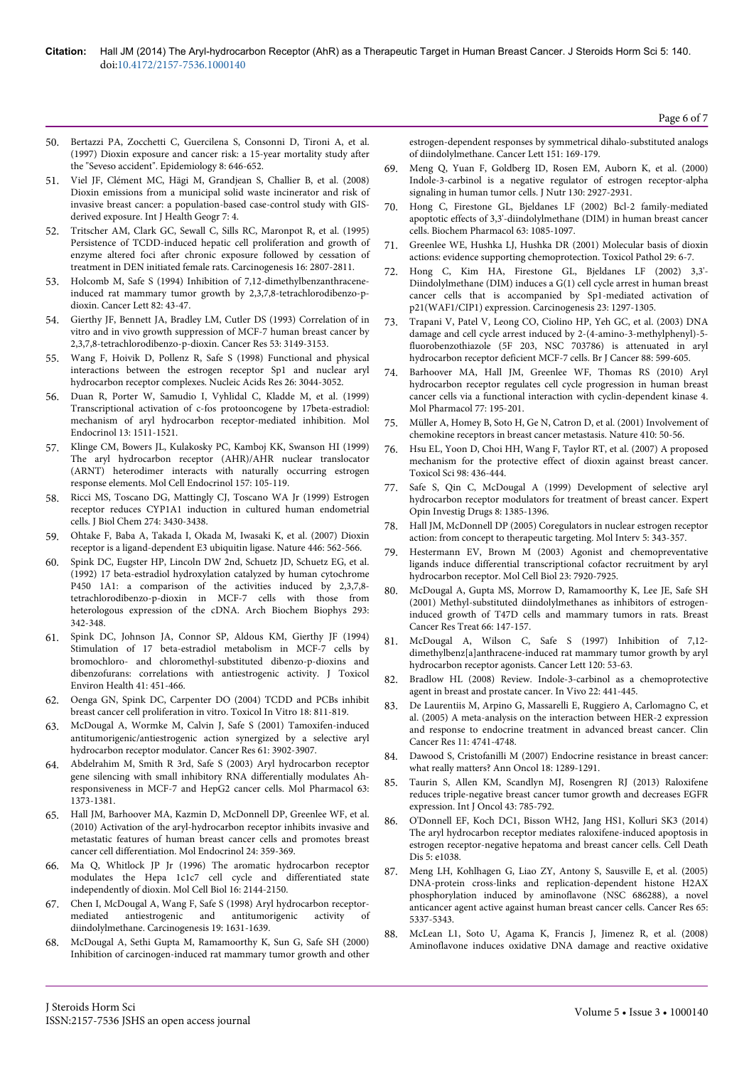- 50. [Bertazzi PA, Zocchetti C, Guercilena S, Consonni D, Tironi A, et al.](http://www.ncbi.nlm.nih.gov/pubmed/9345664) [\(1997\) Dioxin exposure and cancer risk: a 15-year mortality study after](http://www.ncbi.nlm.nih.gov/pubmed/9345664) [the "Seveso accident". Epidemiology 8: 646-652.](http://www.ncbi.nlm.nih.gov/pubmed/9345664)
- 51. [Viel JF, Clément MC, Hägi M, Grandjean S, Challier B, et al. \(2008\)](http://www.ncbi.nlm.nih.gov/pubmed/18226215) [Dioxin emissions from a municipal solid waste incinerator and risk of](http://www.ncbi.nlm.nih.gov/pubmed/18226215) [invasive breast cancer: a population-based case-control study with GIS](http://www.ncbi.nlm.nih.gov/pubmed/18226215)[derived exposure. Int J Health Geogr 7: 4.](http://www.ncbi.nlm.nih.gov/pubmed/18226215)
- 52. [Tritscher AM, Clark GC, Sewall C, Sills RC, Maronpot R, et al. \(1995\)](http://www.ncbi.nlm.nih.gov/pubmed/7586202) [Persistence of TCDD-induced hepatic cell proliferation and growth of](http://www.ncbi.nlm.nih.gov/pubmed/7586202) [enzyme altered foci after chronic exposure followed by cessation of](http://www.ncbi.nlm.nih.gov/pubmed/7586202) [treatment in DEN initiated female rats. Carcinogenesis 16: 2807-2811.](http://www.ncbi.nlm.nih.gov/pubmed/7586202)
- 53. [Holcomb M, Safe S \(1994\) Inhibition of 7,12-dimethylbenzanthracene](http://www.ncbi.nlm.nih.gov/pubmed/8033067)[induced rat mammary tumor growth by 2,3,7,8-tetrachlorodibenzo-p](http://www.ncbi.nlm.nih.gov/pubmed/8033067)[dioxin. Cancer Lett 82: 43-47.](http://www.ncbi.nlm.nih.gov/pubmed/8033067)
- 54. [Gierthy JF, Bennett JA, Bradley LM, Cutler DS \(1993\) Correlation of in](http://www.ncbi.nlm.nih.gov/pubmed/8319224) [vitro and in vivo growth suppression of MCF-7 human breast cancer by](http://www.ncbi.nlm.nih.gov/pubmed/8319224) [2,3,7,8-tetrachlorodibenzo-p-dioxin. Cancer Res 53: 3149-3153.](http://www.ncbi.nlm.nih.gov/pubmed/8319224)
- 55. [Wang F, Hoivik D, Pollenz R, Safe S \(1998\) Functional and physical](http://www.ncbi.nlm.nih.gov/pubmed/9611253) [interactions between the estrogen receptor Sp1 and nuclear aryl](http://www.ncbi.nlm.nih.gov/pubmed/9611253) [hydrocarbon receptor complexes. Nucleic Acids Res 26: 3044-3052.](http://www.ncbi.nlm.nih.gov/pubmed/9611253)
- 56. [Duan R, Porter W, Samudio I, Vyhlidal C, Kladde M, et al. \(1999\)](http://www.ncbi.nlm.nih.gov/pubmed/10478842) [Transcriptional activation of c-fos protooncogene by 17beta-estradiol:](http://www.ncbi.nlm.nih.gov/pubmed/10478842) [mechanism of aryl hydrocarbon receptor-mediated inhibition. Mol](http://www.ncbi.nlm.nih.gov/pubmed/10478842) [Endocrinol 13: 1511-1521.](http://www.ncbi.nlm.nih.gov/pubmed/10478842)
- 57. [Klinge CM, Bowers JL, Kulakosky PC, Kamboj KK, Swanson HI \(1999\)](http://www.ncbi.nlm.nih.gov/pubmed/10619402) [The aryl hydrocarbon receptor \(AHR\)/AHR nuclear translocator](http://www.ncbi.nlm.nih.gov/pubmed/10619402) [\(ARNT\) heterodimer interacts with naturally occurring estrogen](http://www.ncbi.nlm.nih.gov/pubmed/10619402) [response elements. Mol Cell Endocrinol 157: 105-119.](http://www.ncbi.nlm.nih.gov/pubmed/10619402)
- 58. [Ricci MS, Toscano DG, Mattingly CJ, Toscano WA Jr \(1999\) Estrogen](http://www.ncbi.nlm.nih.gov/pubmed/9920887) [receptor reduces CYP1A1 induction in cultured human endometrial](http://www.ncbi.nlm.nih.gov/pubmed/9920887) [cells. J Biol Chem 274: 3430-3438.](http://www.ncbi.nlm.nih.gov/pubmed/9920887)
- 59. [Ohtake F, Baba A, Takada I, Okada M, Iwasaki K, et al. \(2007\) Dioxin](http://www.ncbi.nlm.nih.gov/pubmed/17392787) [receptor is a ligand-dependent E3 ubiquitin ligase. Nature 446: 562-566.](http://www.ncbi.nlm.nih.gov/pubmed/17392787)
- 60. [Spink DC, Eugster HP, Lincoln DW 2nd, Schuetz JD, Schuetz EG, et al.](http://www.ncbi.nlm.nih.gov/pubmed/1536570) [\(1992\) 17 beta-estradiol hydroxylation catalyzed by human cytochrome](http://www.ncbi.nlm.nih.gov/pubmed/1536570) [P450 1A1: a comparison of the activities induced by 2,3,7,8](http://www.ncbi.nlm.nih.gov/pubmed/1536570) [tetrachlorodibenzo-p-dioxin in MCF-7 cells with those from](http://www.ncbi.nlm.nih.gov/pubmed/1536570) [heterologous expression of the cDNA. Arch Biochem Biophys 293:](http://www.ncbi.nlm.nih.gov/pubmed/1536570) [342-348.](http://www.ncbi.nlm.nih.gov/pubmed/1536570)
- 61. [Spink DC, Johnson JA, Connor SP, Aldous KM, Gierthy JF \(1994\)](http://www.ncbi.nlm.nih.gov/pubmed/8145285) [Stimulation of 17 beta-estradiol metabolism in MCF-7 cells by](http://www.ncbi.nlm.nih.gov/pubmed/8145285) [bromochloro- and chloromethyl-substituted dibenzo-p-dioxins and](http://www.ncbi.nlm.nih.gov/pubmed/8145285) [dibenzofurans: correlations with antiestrogenic activity. J Toxicol](http://www.ncbi.nlm.nih.gov/pubmed/8145285) [Environ Health 41: 451-466.](http://www.ncbi.nlm.nih.gov/pubmed/8145285)
- 62. [Oenga GN, Spink DC, Carpenter DO \(2004\) TCDD and PCBs inhibit](http://www.ncbi.nlm.nih.gov/pubmed/15465647) [breast cancer cell proliferation in vitro. Toxicol In Vitro 18: 811-819.](http://www.ncbi.nlm.nih.gov/pubmed/15465647)
- 63. [McDougal A, Wormke M, Calvin J, Safe S \(2001\) Tamoxifen-induced](http://www.ncbi.nlm.nih.gov/pubmed/11358803) [antitumorigenic/antiestrogenic action synergized by a selective aryl](http://www.ncbi.nlm.nih.gov/pubmed/11358803) [hydrocarbon receptor modulator. Cancer Res 61: 3902-3907.](http://www.ncbi.nlm.nih.gov/pubmed/11358803)
- 64. [Abdelrahim M, Smith R 3rd, Safe S \(2003\) Aryl hydrocarbon receptor](http://www.ncbi.nlm.nih.gov/pubmed/12761348) [gene silencing with small inhibitory RNA differentially modulates Ah](http://www.ncbi.nlm.nih.gov/pubmed/12761348)[responsiveness in MCF-7 and HepG2 cancer cells. Mol Pharmacol 63:](http://www.ncbi.nlm.nih.gov/pubmed/12761348) [1373-1381.](http://www.ncbi.nlm.nih.gov/pubmed/12761348)
- 65. [Hall JM, Barhoover MA, Kazmin D, McDonnell DP, Greenlee WF, et al.](http://www.ncbi.nlm.nih.gov/pubmed/20032195) [\(2010\) Activation of the aryl-hydrocarbon receptor inhibits invasive and](http://www.ncbi.nlm.nih.gov/pubmed/20032195) [metastatic features of human breast cancer cells and promotes breast](http://www.ncbi.nlm.nih.gov/pubmed/20032195) [cancer cell differentiation. Mol Endocrinol 24: 359-369.](http://www.ncbi.nlm.nih.gov/pubmed/20032195)
- 66. [Ma Q, Whitlock JP Jr \(1996\) The aromatic hydrocarbon receptor](http://www.ncbi.nlm.nih.gov/pubmed/8628281) [modulates the Hepa 1c1c7 cell cycle and differentiated state](http://www.ncbi.nlm.nih.gov/pubmed/8628281) [independently of dioxin. Mol Cell Biol 16: 2144-2150.](http://www.ncbi.nlm.nih.gov/pubmed/8628281)
- 67. [Chen I, McDougal A, Wang F, Safe S \(1998\) Aryl hydrocarbon receptor](http://www.ncbi.nlm.nih.gov/pubmed/9771935)antitumorigenic activity of [diindolylmethane. Carcinogenesis 19: 1631-1639.](http://www.ncbi.nlm.nih.gov/pubmed/9771935)
- 68. [McDougal A, Sethi Gupta M, Ramamoorthy K, Sun G, Safe SH \(2000\)](http://www.cancerletters.info/article/S0304-3835(99)00406-1/abstract) [Inhibition of carcinogen-induced rat mammary tumor growth and other](http://www.cancerletters.info/article/S0304-3835(99)00406-1/abstract)

[estrogen-dependent responses by symmetrical dihalo-substituted analogs](http://www.cancerletters.info/article/S0304-3835(99)00406-1/abstract) [of diindolylmethane. Cancer Lett 151: 169-179.](http://www.cancerletters.info/article/S0304-3835(99)00406-1/abstract)

- 69. [Meng Q, Yuan F, Goldberg ID, Rosen EM, Auborn K, et al. \(2000\)](http://www.ncbi.nlm.nih.gov/pubmed/11110848) [Indole-3-carbinol is a negative regulator of estrogen receptor-alpha](http://www.ncbi.nlm.nih.gov/pubmed/11110848) [signaling in human tumor cells. J Nutr 130: 2927-2931.](http://www.ncbi.nlm.nih.gov/pubmed/11110848)
- 70. [Hong C, Firestone GL, Bjeldanes LF \(2002\) Bcl-2 family-mediated](http://www.ncbi.nlm.nih.gov/pubmed/11931841) [apoptotic effects of 3,3'-diindolylmethane \(DIM\) in human breast cancer](http://www.ncbi.nlm.nih.gov/pubmed/11931841) [cells. Biochem Pharmacol 63: 1085-1097.](http://www.ncbi.nlm.nih.gov/pubmed/11931841)
- 71. [Greenlee WE, Hushka LJ, Hushka DR \(2001\) Molecular basis of dioxin](http://www.ncbi.nlm.nih.gov/pubmed/11215685) [actions: evidence supporting chemoprotection. Toxicol Pathol 29: 6-7.](http://www.ncbi.nlm.nih.gov/pubmed/11215685)
- 72. [Hong C, Kim HA, Firestone GL, Bjeldanes LF \(2002\) 3,3'-](http://www.ncbi.nlm.nih.gov/pubmed/12151347) [Diindolylmethane \(DIM\) induces a G\(1\) cell cycle arrest in human breast](http://www.ncbi.nlm.nih.gov/pubmed/12151347) [cancer cells that is accompanied by Sp1-mediated activation of](http://www.ncbi.nlm.nih.gov/pubmed/12151347) [p21\(WAF1/CIP1\) expression. Carcinogenesis 23: 1297-1305.](http://www.ncbi.nlm.nih.gov/pubmed/12151347)
- 73. [Trapani V, Patel V, Leong CO, Ciolino HP, Yeh GC, et al. \(2003\) DNA](http://www.ncbi.nlm.nih.gov/pubmed/12592376) [damage and cell cycle arrest induced by 2-\(4-amino-3-methylphenyl\)-5](http://www.ncbi.nlm.nih.gov/pubmed/12592376) [fluorobenzothiazole \(5F 203, NSC 703786\) is attenuated in aryl](http://www.ncbi.nlm.nih.gov/pubmed/12592376) [hydrocarbon receptor deficient MCF-7 cells. Br J Cancer 88: 599-605.](http://www.ncbi.nlm.nih.gov/pubmed/12592376)
- 74. [Barhoover MA, Hall JM, Greenlee WF, Thomas RS \(2010\) Aryl](http://www.ncbi.nlm.nih.gov/pubmed/19917880) [hydrocarbon receptor regulates cell cycle progression in human breast](http://www.ncbi.nlm.nih.gov/pubmed/19917880) [cancer cells via a functional interaction with cyclin-dependent kinase 4.](http://www.ncbi.nlm.nih.gov/pubmed/19917880) [Mol Pharmacol 77: 195-201.](http://www.ncbi.nlm.nih.gov/pubmed/19917880)
- 75. [Müller A, Homey B, Soto H, Ge N, Catron D, et al. \(2001\) Involvement of](http://www.ncbi.nlm.nih.gov/pubmed/11242036) [chemokine receptors in breast cancer metastasis. Nature 410: 50-56.](http://www.ncbi.nlm.nih.gov/pubmed/11242036)
- 76. [Hsu EL, Yoon D, Choi HH, Wang F, Taylor RT, et al. \(2007\) A proposed](http://www.ncbi.nlm.nih.gov/pubmed/17517823) [mechanism for the protective effect of dioxin against breast cancer.](http://www.ncbi.nlm.nih.gov/pubmed/17517823) [Toxicol Sci 98: 436-444.](http://www.ncbi.nlm.nih.gov/pubmed/17517823)
- 77. [Safe S, Qin C, McDougal A \(1999\) Development of selective aryl](http://www.ncbi.nlm.nih.gov/pubmed/15992156) [hydrocarbon receptor modulators for treatment of breast cancer. Expert](http://www.ncbi.nlm.nih.gov/pubmed/15992156) [Opin Investig Drugs 8: 1385-1396.](http://www.ncbi.nlm.nih.gov/pubmed/15992156)
- 78. [Hall JM, McDonnell DP \(2005\) Coregulators in nuclear estrogen receptor](http://www.ncbi.nlm.nih.gov/pubmed/16394250) [action: from concept to therapeutic targeting. Mol Interv 5: 343-357.](http://www.ncbi.nlm.nih.gov/pubmed/16394250)
- 79. [Hestermann EV, Brown M \(2003\) Agonist and chemopreventative](http://www.ncbi.nlm.nih.gov/pubmed/14560034) [ligands induce differential transcriptional cofactor recruitment by aryl](http://www.ncbi.nlm.nih.gov/pubmed/14560034) [hydrocarbon receptor. Mol Cell Biol 23: 7920-7925.](http://www.ncbi.nlm.nih.gov/pubmed/14560034)
- 80. [McDougal A, Gupta MS, Morrow D, Ramamoorthy K, Lee JE, Safe SH](http://www.ncbi.nlm.nih.gov/pubmed/11437101) [\(2001\) Methyl-substituted diindolylmethanes as inhibitors of estrogen](http://www.ncbi.nlm.nih.gov/pubmed/11437101)[induced growth of T47D cells and mammary tumors in rats. Breast](http://www.ncbi.nlm.nih.gov/pubmed/11437101) [Cancer Res Treat 66: 147-157.](http://www.ncbi.nlm.nih.gov/pubmed/11437101)
- 81. [McDougal A, Wilson C, Safe S \(1997\) Inhibition of 7,12](http://www.ncbi.nlm.nih.gov/pubmed/9570386) [dimethylbenz\[a\]anthracene-induced rat mammary tumor growth by aryl](http://www.ncbi.nlm.nih.gov/pubmed/9570386) [hydrocarbon receptor agonists. Cancer Lett 120: 53-63.](http://www.ncbi.nlm.nih.gov/pubmed/9570386)
- 82. [Bradlow HL \(2008\) Review. Indole-3-carbinol as a chemoprotective](http://www.ncbi.nlm.nih.gov/pubmed/18712169) [agent in breast and prostate cancer. In Vivo 22: 441-445.](http://www.ncbi.nlm.nih.gov/pubmed/18712169)
- 83. [De Laurentiis M, Arpino G, Massarelli E, Ruggiero A, Carlomagno C, et](http://www.ncbi.nlm.nih.gov/pubmed/16000569) [al. \(2005\) A meta-analysis on the interaction between HER-2 expression](http://www.ncbi.nlm.nih.gov/pubmed/16000569) [and response to endocrine treatment in advanced breast cancer. Clin](http://www.ncbi.nlm.nih.gov/pubmed/16000569) [Cancer Res 11: 4741-4748.](http://www.ncbi.nlm.nih.gov/pubmed/16000569)
- [Dawood S, Cristofanilli M \(2007\) Endocrine resistance in breast cancer:](http://www.ncbi.nlm.nih.gov/pubmed/17693644) [what really matters? Ann Oncol 18: 1289-1291.](http://www.ncbi.nlm.nih.gov/pubmed/17693644)
- 85. [Taurin S, Allen KM, Scandlyn MJ, Rosengren RJ \(2013\) Raloxifene](http://www.ncbi.nlm.nih.gov/pubmed/23842642) [reduces triple-negative breast cancer tumor growth and decreases EGFR](http://www.ncbi.nlm.nih.gov/pubmed/23842642) [expression. Int J Oncol 43: 785-792.](http://www.ncbi.nlm.nih.gov/pubmed/23842642)
- 86. [O'Donnell EF, Koch DC1, Bisson WH2, Jang HS1, Kolluri SK3 \(2014\)](http://www.ncbi.nlm.nih.gov/pubmed/24481452) [The aryl hydrocarbon receptor mediates raloxifene-induced apoptosis in](http://www.ncbi.nlm.nih.gov/pubmed/24481452) [estrogen receptor-negative hepatoma and breast cancer cells. Cell Death](http://www.ncbi.nlm.nih.gov/pubmed/24481452) [Dis 5: e1038.](http://www.ncbi.nlm.nih.gov/pubmed/24481452)
- 87. [Meng LH, Kohlhagen G, Liao ZY, Antony S, Sausville E, et al. \(2005\)](http://www.ncbi.nlm.nih.gov/pubmed/15958581) [DNA-protein cross-links and replication-dependent histone H2AX](http://www.ncbi.nlm.nih.gov/pubmed/15958581) [phosphorylation induced by aminoflavone \(NSC 686288\), a novel](http://www.ncbi.nlm.nih.gov/pubmed/15958581) [anticancer agent active against human breast cancer cells. Cancer Res 65:](http://www.ncbi.nlm.nih.gov/pubmed/15958581) [5337-5343.](http://www.ncbi.nlm.nih.gov/pubmed/15958581)
- 88. [McLean L1, Soto U, Agama K, Francis J, Jimenez R, et al. \(2008\)](http://www.ncbi.nlm.nih.gov/pubmed/18059023) [Aminoflavone induces oxidative DNA damage and reactive oxidative](http://www.ncbi.nlm.nih.gov/pubmed/18059023)